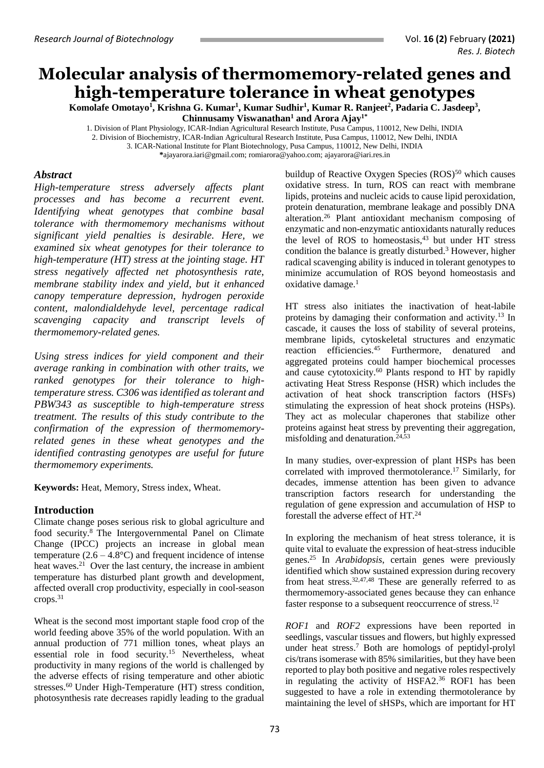# **Molecular analysis of thermomemory-related genes and high-temperature tolerance in wheat genotypes**

**Komolafe Omotayo<sup>1</sup> , Krishna G. Kumar<sup>1</sup> , Kumar Sudhir<sup>1</sup> , Kumar R. Ranjeet<sup>2</sup> , Padaria C. Jasdeep<sup>3</sup> , Chinnusamy Viswanathan<sup>1</sup> and Arora Ajay1\***

1. Division of Plant Physiology, ICAR-Indian Agricultural Research Institute, Pusa Campus, 110012, New Delhi, INDIA 2. Division of Biochemistry, ICAR-Indian Agricultural Research Institute, Pusa Campus, 110012, New Delhi, INDIA 3. ICAR-National Institute for Plant Biotechnology, Pusa Campus, 110012, New Delhi, INDIA **\***[ajayarora.iari@gmail.com;](mailto:ajayarora.iari@gmail.com) [romiarora@yahoo.com;](mailto:romiarora@yahoo.com) [ajayarora@iari.res.in](mailto:ajayarora@iari.res.in)

## *Abstract*

*High-temperature stress adversely affects plant processes and has become a recurrent event. Identifying wheat genotypes that combine basal tolerance with thermomemory mechanisms without significant yield penalties is desirable. Here, we examined six wheat genotypes for their tolerance to high-temperature (HT) stress at the jointing stage. HT stress negatively affected net photosynthesis rate, membrane stability index and yield, but it enhanced canopy temperature depression, hydrogen peroxide content, malondialdehyde level, percentage radical scavenging capacity and transcript levels of thermomemory-related genes.* 

*Using stress indices for yield component and their average ranking in combination with other traits, we ranked genotypes for their tolerance to hightemperature stress. C306 was identified as tolerant and PBW343 as susceptible to high-temperature stress treatment. The results of this study contribute to the confirmation of the expression of thermomemoryrelated genes in these wheat genotypes and the identified contrasting genotypes are useful for future thermomemory experiments.*

**Keywords:** Heat, Memory, Stress index, Wheat.

# **Introduction**

Climate change poses serious risk to global agriculture and food security.<sup>8</sup> The Intergovernmental Panel on Climate Change (IPCC) projects an increase in global mean temperature  $(2.6 - 4.8^{\circ}\text{C})$  and frequent incidence of intense heat waves.<sup>21</sup> Over the last century, the increase in ambient temperature has disturbed plant growth and development, affected overall crop productivity, especially in cool-season crops. 31

Wheat is the second most important staple food crop of the world feeding above 35% of the world population. With an annual production of 771 million tones, wheat plays an essential role in food security.<sup>15</sup> Nevertheless, wheat productivity in many regions of the world is challenged by the adverse effects of rising temperature and other abiotic stresses.<sup>60</sup> Under High-Temperature (HT) stress condition, photosynthesis rate decreases rapidly leading to the gradual

buildup of Reactive Oxygen Species  $(ROS)^{50}$  which causes oxidative stress. In turn, ROS can react with membrane lipids, proteins and nucleic acids to cause lipid peroxidation, protein denaturation, membrane leakage and possibly DNA alteration. <sup>26</sup> Plant antioxidant mechanism composing of enzymatic and non-enzymatic antioxidants naturally reduces the level of ROS to homeostasis,<sup>43</sup> but under HT stress condition the balance is greatly disturbed.<sup>3</sup> However, higher radical scavenging ability is induced in tolerant genotypes to minimize accumulation of ROS beyond homeostasis and oxidative damage. 1

HT stress also initiates the inactivation of heat-labile proteins by damaging their conformation and activity. <sup>13</sup> In cascade, it causes the loss of stability of several proteins, membrane lipids, cytoskeletal structures and enzymatic reaction efficiencies.<sup>45</sup> Furthermore, denatured and aggregated proteins could hamper biochemical processes and cause cytotoxicity. <sup>60</sup> Plants respond to HT by rapidly activating Heat Stress Response (HSR) which includes the activation of heat shock transcription factors (HSFs) stimulating the expression of heat shock proteins (HSPs). They act as molecular chaperones that stabilize other proteins against heat stress by preventing their aggregation, misfolding and denaturation. 24,53

In many studies, over-expression of plant HSPs has been correlated with improved thermotolerance. <sup>17</sup> Similarly, for decades, immense attention has been given to advance transcription factors research for understanding the regulation of gene expression and accumulation of HSP to forestall the adverse effect of HT. 24

In exploring the mechanism of heat stress tolerance, it is quite vital to evaluate the expression of heat-stress inducible genes.<sup>25</sup> In *Arabidopsis*, certain genes were previously identified which show sustained expression during recovery from heat stress.<sup>32,47,48</sup> These are generally referred to as thermomemory-associated genes because they can enhance faster response to a subsequent reoccurrence of stress.<sup>12</sup>

*ROF1* and *ROF2* expressions have been reported in seedlings, vascular tissues and flowers, but highly expressed under heat stress. <sup>7</sup> Both are homologs of peptidyl-prolyl cis/trans isomerase with 85% similarities, but they have been reported to play both positive and negative roles respectively in regulating the activity of HSFA2.<sup>36</sup> ROF1 has been suggested to have a role in extending thermotolerance by maintaining the level of sHSPs, which are important for HT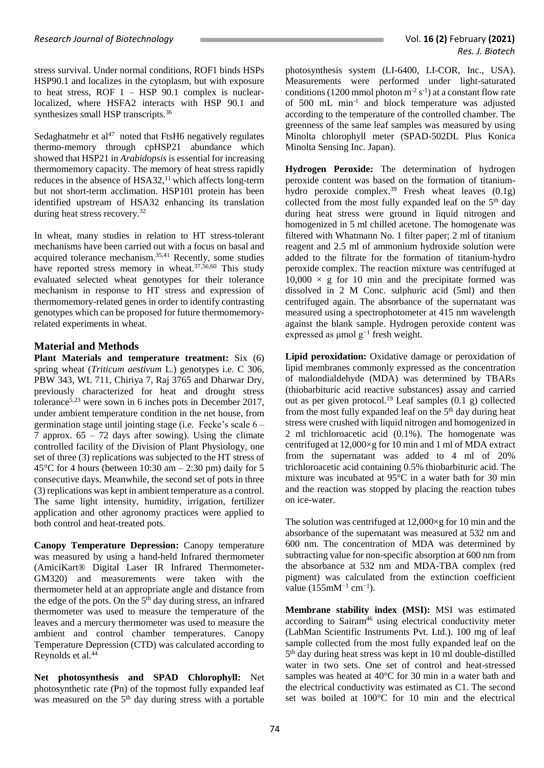stress survival. Under normal conditions, ROF1 binds HSPs HSP90.1 and localizes in the cytoplasm, but with exposure to heat stress, ROF  $1 - HSP$  90.1 complex is nuclearlocalized, where HSFA2 interacts with HSP 90.1 and synthesizes small HSP transcripts.<sup>36</sup>

Sedaghatmehr et al<sup>47</sup> noted that FtsH6 negatively regulates thermo-memory through cpHSP21 abundance which showed that HSP21 in *Arabidopsis* is essential for increasing thermomemory capacity. The memory of heat stress rapidly reduces in the absence of HSA32,<sup>11</sup> which affects long-term but not short-term acclimation. HSP101 protein has been identified upstream of HSA32 enhancing its translation during heat stress recovery.<sup>32</sup>

In wheat, many studies in relation to HT stress-tolerant mechanisms have been carried out with a focus on basal and acquired tolerance mechanism.35,41 Recently, some studies have reported stress memory in wheat.<sup>37,56,60</sup> This study evaluated selected wheat genotypes for their tolerance mechanism in response to HT stress and expression of thermomemory-related genes in order to identify contrasting genotypes which can be proposed for future thermomemoryrelated experiments in wheat.

## **Material and Methods**

**Plant Materials and temperature treatment:** Six (6) spring wheat (*Triticum aestivum* L.) genotypes i.e. C 306, PBW 343, WL 711, Chiriya 7, Raj 3765 and Dharwar Dry, previously characterized for heat and drought stress tolerance5,23 were sown in 6 inches pots in December 2017, under ambient temperature condition in the net house, from germination stage until jointing stage (i.e. Feeke's scale 6 – 7 approx. 65 – 72 days after sowing). Using the climate controlled facility of the Division of Plant Physiology, one set of three (3) replications was subjected to the HT stress of 45 $\degree$ C for 4 hours (between 10:30 am  $-$  2:30 pm) daily for 5 consecutive days. Meanwhile, the second set of pots in three (3) replications was kept in ambient temperature as a control. The same light intensity, humidity, irrigation, fertilizer application and other agronomy practices were applied to both control and heat-treated pots.

**Canopy Temperature Depression:** Canopy temperature was measured by using a hand-held Infrared thermometer (AmiciKart® Digital Laser IR Infrared Thermometer-GM320) and measurements were taken with the thermometer held at an appropriate angle and distance from the edge of the pots. On the 5<sup>th</sup> day during stress, an infrared thermometer was used to measure the temperature of the leaves and a mercury thermometer was used to measure the ambient and control chamber temperatures. Canopy Temperature Depression (CTD) was calculated according to Reynolds et al.<sup>44</sup>

**Net photosynthesis and SPAD Chlorophyll:** Net photosynthetic rate (Pn) of the topmost fully expanded leaf was measured on the 5<sup>th</sup> day during stress with a portable

photosynthesis system (LI-6400, LI-COR, Inc., USA). Measurements were performed under light-saturated conditions (1200 mmol photon  $m^2 s^{-1}$ ) at a constant flow rate of 500 mL min-1 and block temperature was adjusted according to the temperature of the controlled chamber. The greenness of the same leaf samples was measured by using Minolta chlorophyll meter (SPAD-502DL Plus Konica Minolta Sensing Inc. Japan).

**Hydrogen Peroxide:** The determination of hydrogen peroxide content was based on the formation of titaniumhydro peroxide complex.<sup>39</sup> Fresh wheat leaves  $(0.1g)$ collected from the most fully expanded leaf on the 5<sup>th</sup> day during heat stress were ground in liquid nitrogen and homogenized in 5 ml chilled acetone. The homogenate was filtered with Whatmann No. 1 filter paper; 2 ml of titanium reagent and 2.5 ml of ammonium hydroxide solution were added to the filtrate for the formation of titanium-hydro peroxide complex. The reaction mixture was centrifuged at  $10,000 \times$  g for 10 min and the precipitate formed was dissolved in 2 M Conc. sulphuric acid (5ml) and then centrifuged again. The absorbance of the supernatant was measured using a spectrophotometer at 415 nm wavelength against the blank sample. Hydrogen peroxide content was expressed as μmol g−1 fresh weight.

**Lipid peroxidation:** Oxidative damage or peroxidation of lipid membranes commonly expressed as the concentration of malondialdehyde (MDA) was determined by TBARs (thiobarbituric acid reactive substances) assay and carried out as per given protocol.<sup>19</sup> Leaf samples  $(0.1 \text{ g})$  collected from the most fully expanded leaf on the  $5<sup>th</sup>$  day during heat stress were crushed with liquid nitrogen and homogenized in 2 ml trichloroacetic acid (0.1%). The homogenate was centrifuged at 12,000×g for 10 min and 1 ml of MDA extract from the supernatant was added to 4 ml of 20% trichloroacetic acid containing 0.5% thiobarbituric acid. The mixture was incubated at 95°C in a water bath for 30 min and the reaction was stopped by placing the reaction tubes on ice-water.

The solution was centrifuged at  $12,000 \times g$  for 10 min and the absorbance of the supernatant was measured at 532 nm and 600 nm. The concentration of MDA was determined by subtracting value for non-specific absorption at 600 nm from the absorbance at 532 nm and MDA-TBA complex (red pigment) was calculated from the extinction coefficient value (155mM<sup>-1</sup> cm<sup>-1</sup>).

**Membrane stability index (MSI):** MSI was estimated according to Sairam<sup>46</sup> using electrical conductivity meter (LabMan Scientific Instruments Pvt. Ltd.). 100 mg of leaf sample collected from the most fully expanded leaf on the 5 th day during heat stress was kept in 10 ml double-distilled water in two sets. One set of control and heat-stressed samples was heated at 40°C for 30 min in a water bath and the electrical conductivity was estimated as C1. The second set was boiled at 100°C for 10 min and the electrical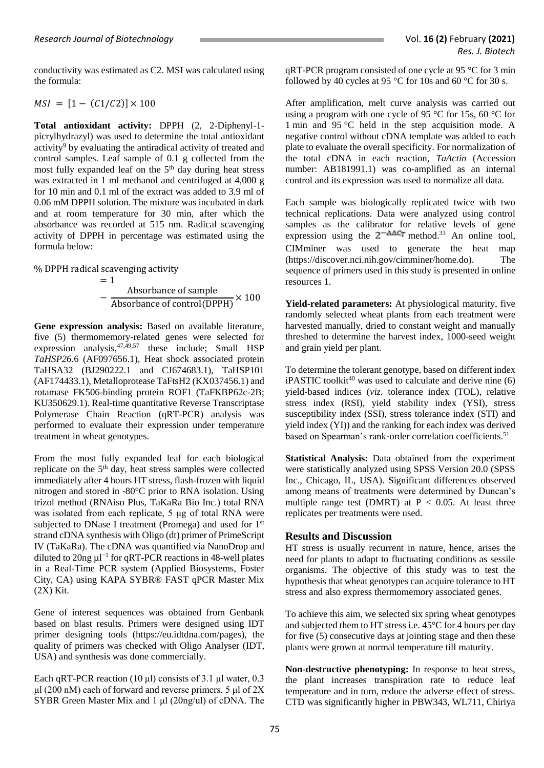conductivity was estimated as C2. MSI was calculated using the formula:

#### $MSI = [1 - (C1/C2)] \times 100$

**Total antioxidant activity:** DPPH (2, 2-Diphenyl-1 picrylhydrazyl) was used to determine the total antioxidant activity<sup>9</sup> by evaluating the antiradical activity of treated and control samples. Leaf sample of 0.1 g collected from the most fully expanded leaf on the 5th day during heat stress was extracted in 1 ml methanol and centrifuged at 4,000 g for 10 min and 0.1 ml of the extract was added to 3.9 ml of 0.06 mM DPPH solution. The mixture was incubated in dark and at room temperature for 30 min, after which the absorbance was recorded at 515 nm. Radical scavenging activity of DPPH in percentage was estimated using the formula below:

% DPPH radical scavenging activity

$$
= 1
$$
  
 
$$
- Absorbance of sample
$$
  
 
$$
- Absorbance of control(DPPH) × 100
$$

**Gene expression analysis:** Based on available literature, five (5) thermomemory-related genes were selected for expression analysis, $47,49,57$  these include; Small HSP *TaHSP26.*6 (AF097656.1), Heat shock associated protein TaHSA32 (BJ290222.1 and CJ674683.1), TaHSP101 (AF174433.1), Metalloprotease TaFtsH2 (KX037456.1) and rotamase FK506-binding protein ROF1 (TaFKBP62c-2B; KU350629.1). Real-time quantitative Reverse Transcriptase Polymerase Chain Reaction (qRT-PCR) analysis was performed to evaluate their expression under temperature treatment in wheat genotypes.

From the most fully expanded leaf for each biological replicate on the 5<sup>th</sup> day, heat stress samples were collected immediately after 4 hours HT stress, flash-frozen with liquid nitrogen and stored in -80°C prior to RNA isolation. Using trizol method (RNAiso Plus, TaKaRa Bio Inc.) total RNA was isolated from each replicate, 5 μg of total RNA were subjected to DNase I treatment (Promega) and used for 1<sup>st</sup> strand cDNA synthesis with Oligo (dt) primer of PrimeScript IV (TaKaRa). The cDNA was quantified via NanoDrop and diluted to 20ng  $\mu$ l<sup>-1</sup> for qRT-PCR reactions in 48-well plates in a Real-Time PCR system (Applied Biosystems, Foster City, CA) using KAPA SYBR® FAST qPCR Master Mix (2X) Kit.

Gene of interest sequences was obtained from Genbank based on blast results. Primers were designed using IDT primer designing tools [\(https://eu.idtdna.com/pages\)](https://eu.idtdna.com/pages), the quality of primers was checked with Oligo Analyser (IDT, USA) and synthesis was done commercially.

Each qRT-PCR reaction (10 μl) consists of 3.1 μl water, 0.3 μl (200 nM) each of forward and reverse primers, 5 μl of  $2X$ SYBR Green Master Mix and 1 μl (20ng/ul) of cDNA. The qRT-PCR program consisted of one cycle at 95 °C for 3 min followed by 40 cycles at 95  $\degree$ C for 10s and 60  $\degree$ C for 30 s.

After amplification, melt curve analysis was carried out using a program with one cycle of 95 °C for 15s, 60 °C for 1 min and 95 °C held in the step acquisition mode. A negative control without cDNA template was added to each plate to evaluate the overall specificity. For normalization of the total cDNA in each reaction, *TaActin* (Accession number: AB181991.1) was co-amplified as an internal control and its expression was used to normalize all data.

Each sample was biologically replicated twice with two technical replications. Data were analyzed using control samples as the calibrator for relative levels of gene expression using the  $2^{-\Delta\Delta C_T}$  method.<sup>33</sup> An online tool, CIMminer was used to generate the heat map (https://discover.nci.nih.gov/cimminer/home.do). The sequence of primers used in this study is presented in online resources 1.

**Yield-related parameters:** At physiological maturity, five randomly selected wheat plants from each treatment were harvested manually, dried to constant weight and manually threshed to determine the harvest index, 1000-seed weight and grain yield per plant.

To determine the tolerant genotype, based on different index  $iPASTIC$  toolkit<sup>40</sup> was used to calculate and derive nine  $(6)$ yield‐based indices (*viz*. tolerance index (TOL), relative stress index (RSI), yield stability index (YSI), stress susceptibility index (SSI), stress tolerance index (STI) and yield index (YI)) and the ranking for each index was derived based on Spearman's rank-order correlation coefficients.<sup>51</sup>

**Statistical Analysis:** Data obtained from the experiment were statistically analyzed using SPSS Version 20.0 (SPSS Inc., Chicago, IL, USA). Significant differences observed among means of treatments were determined by Duncan's multiple range test (DMRT) at  $P < 0.05$ . At least three replicates per treatments were used.

#### **Results and Discussion**

HT stress is usually recurrent in nature, hence, arises the need for plants to adapt to fluctuating conditions as sessile organisms. The objective of this study was to test the hypothesis that wheat genotypes can acquire tolerance to HT stress and also express thermomemory associated genes.

To achieve this aim, we selected six spring wheat genotypes and subjected them to HT stress i.e. 45°C for 4 hours per day for five (5) consecutive days at jointing stage and then these plants were grown at normal temperature till maturity.

**Non-destructive phenotyping:** In response to heat stress, the plant increases transpiration rate to reduce leaf temperature and in turn, reduce the adverse effect of stress. CTD was significantly higher in PBW343, WL711, Chiriya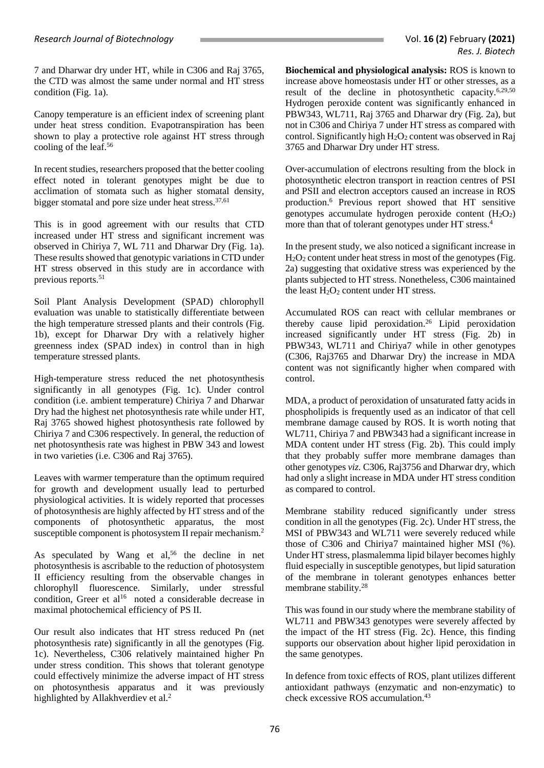7 and Dharwar dry under HT, while in C306 and Raj 3765, the CTD was almost the same under normal and HT stress condition (Fig. 1a).

Canopy temperature is an efficient index of screening plant under heat stress condition. Evapotranspiration has been shown to play a protective role against HT stress through cooling of the leaf.<sup>56</sup>

In recent studies, researchers proposed that the better cooling effect noted in tolerant genotypes might be due to acclimation of stomata such as higher stomatal density, bigger stomatal and pore size under heat stress. 37,61

This is in good agreement with our results that CTD increased under HT stress and significant increment was observed in Chiriya 7, WL 711 and Dharwar Dry (Fig. 1a). These results showed that genotypic variations in CTD under HT stress observed in this study are in accordance with previous reports. 51

Soil Plant Analysis Development (SPAD) chlorophyll evaluation was unable to statistically differentiate between the high temperature stressed plants and their controls (Fig. 1b), except for Dharwar Dry with a relatively higher greenness index (SPAD index) in control than in high temperature stressed plants.

High-temperature stress reduced the net photosynthesis significantly in all genotypes (Fig. 1c). Under control condition (i.e. ambient temperature) Chiriya 7 and Dharwar Dry had the highest net photosynthesis rate while under HT, Raj 3765 showed highest photosynthesis rate followed by Chiriya 7 and C306 respectively. In general, the reduction of net photosynthesis rate was highest in PBW 343 and lowest in two varieties (i.e. C306 and Raj 3765).

Leaves with warmer temperature than the optimum required for growth and development usually lead to perturbed physiological activities. It is widely reported that processes of photosynthesis are highly affected by HT stress and of the components of photosynthetic apparatus, the most susceptible component is photosystem II repair mechanism.<sup>2</sup>

As speculated by Wang et al,<sup>56</sup> the decline in net photosynthesis is ascribable to the reduction of photosystem II efficiency resulting from the observable changes in chlorophyll fluorescence. Similarly, under stressful condition, Greer et al<sup>16</sup> noted a considerable decrease in maximal photochemical efficiency of PS II.

Our result also indicates that HT stress reduced Pn (net photosynthesis rate) significantly in all the genotypes (Fig. 1c). Nevertheless, C306 relatively maintained higher Pn under stress condition. This shows that tolerant genotype could effectively minimize the adverse impact of HT stress on photosynthesis apparatus and it was previously highlighted by Allakhverdiev et al.<sup>2</sup>

**Biochemical and physiological analysis:** ROS is known to increase above homeostasis under HT or other stresses, as a result of the decline in photosynthetic capacity.6,29,50 Hydrogen peroxide content was significantly enhanced in PBW343, WL711, Raj 3765 and Dharwar dry (Fig. 2a), but not in C306 and Chiriya 7 under HT stress as compared with control. Significantly high  $H_2O_2$  content was observed in Raj 3765 and Dharwar Dry under HT stress.

Over-accumulation of electrons resulting from the block in photosynthetic electron transport in reaction centres of PSI and PSII and electron acceptors caused an increase in ROS production.<sup>6</sup> Previous report showed that HT sensitive genotypes accumulate hydrogen peroxide content  $(H_2O_2)$ more than that of tolerant genotypes under HT stress.<sup>4</sup>

In the present study, we also noticed a significant increase in  $H_2O_2$  content under heat stress in most of the genotypes (Fig. 2a) suggesting that oxidative stress was experienced by the plants subjected to HT stress. Nonetheless, C306 maintained the least  $H_2O_2$  content under HT stress.

Accumulated ROS can react with cellular membranes or thereby cause lipid peroxidation.<sup>26</sup> Lipid peroxidation increased significantly under HT stress (Fig. 2b) in PBW343, WL711 and Chiriya7 while in other genotypes (C306, Raj3765 and Dharwar Dry) the increase in MDA content was not significantly higher when compared with control.

MDA, a product of peroxidation of unsaturated fatty acids in phospholipids is frequently used as an indicator of that cell membrane damage caused by ROS. It is worth noting that WL711, Chiriya 7 and PBW343 had a significant increase in MDA content under HT stress (Fig. 2b). This could imply that they probably suffer more membrane damages than other genotypes *viz.* C306, Raj3756 and Dharwar dry, which had only a slight increase in MDA under HT stress condition as compared to control.

Membrane stability reduced significantly under stress condition in all the genotypes (Fig. 2c). Under HT stress, the MSI of PBW343 and WL711 were severely reduced while those of C306 and Chiriya7 maintained higher MSI (%). Under HT stress, plasmalemma lipid bilayer becomes highly fluid especially in susceptible genotypes, but lipid saturation of the membrane in tolerant genotypes enhances better membrane stability.<sup>28</sup>

This was found in our study where the membrane stability of WL711 and PBW343 genotypes were severely affected by the impact of the HT stress (Fig. 2c). Hence, this finding supports our observation about higher lipid peroxidation in the same genotypes.

In defence from toxic effects of ROS, plant utilizes different antioxidant pathways (enzymatic and non-enzymatic) to check excessive ROS accumulation. 43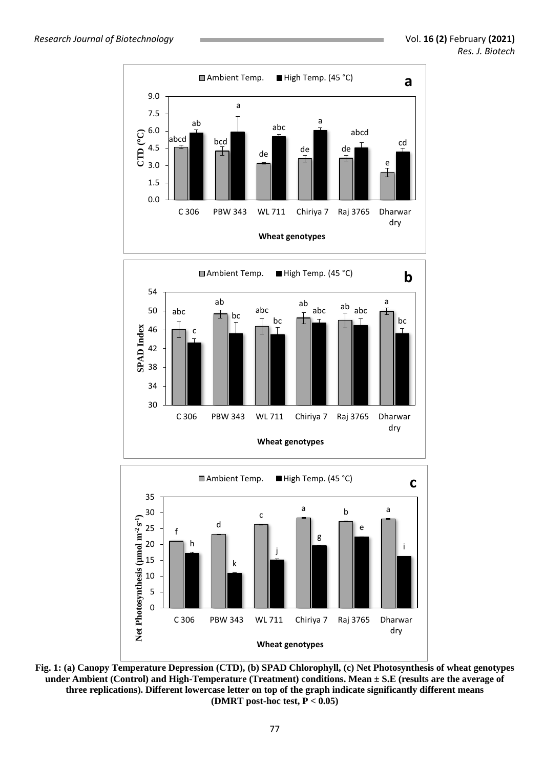

**Fig. 1: (a) Canopy Temperature Depression (CTD), (b) SPAD Chlorophyll, (c) Net Photosynthesis of wheat genotypes under Ambient (Control) and High-Temperature (Treatment) conditions. Mean ± S.E (results are the average of three replications). Different lowercase letter on top of the graph indicate significantly different means (DMRT post-hoc test, P < 0.05)**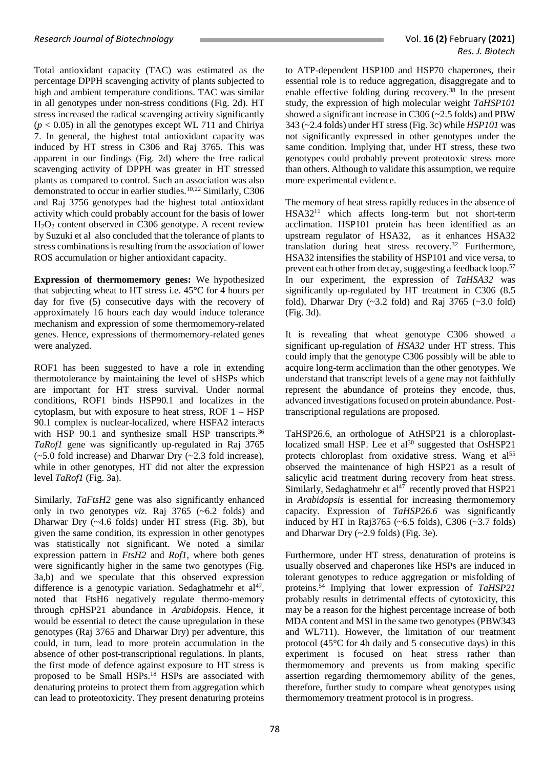Total antioxidant capacity (TAC) was estimated as the percentage DPPH scavenging activity of plants subjected to high and ambient temperature conditions. TAC was similar in all genotypes under non-stress conditions (Fig. 2d). HT stress increased the radical scavenging activity significantly  $(p < 0.05)$  in all the genotypes except WL 711 and Chiriya 7. In general, the highest total antioxidant capacity was induced by HT stress in C306 and Raj 3765. This was apparent in our findings (Fig. 2d) where the free radical scavenging activity of DPPH was greater in HT stressed plants as compared to control. Such an association was also demonstrated to occur in earlier studies.10,22 Similarly, C306 and Raj 3756 genotypes had the highest total antioxidant activity which could probably account for the basis of lower H2O<sup>2</sup> content observed in C306 genotype. A recent review by Suzuki et al also concluded that the tolerance of plants to stress combinations is resulting from the association of lower ROS accumulation or higher antioxidant capacity.

**Expression of thermomemory genes:** We hypothesized that subjecting wheat to HT stress i.e. 45°C for 4 hours per day for five (5) consecutive days with the recovery of approximately 16 hours each day would induce tolerance mechanism and expression of some thermomemory-related genes. Hence, expressions of thermomemory-related genes were analyzed.

ROF1 has been suggested to have a role in extending thermotolerance by maintaining the level of sHSPs which are important for HT stress survival. Under normal conditions, ROF1 binds HSP90.1 and localizes in the cytoplasm, but with exposure to heat stress, ROF  $1 - HSP$ 90.1 complex is nuclear-localized, where HSFA2 interacts with HSP 90.1 and synthesize small HSP transcripts.<sup>36</sup> *TaRof1* gene was significantly up-regulated in Raj 3765  $(-5.0 \text{ fold increase})$  and Dharwar Dry  $(-2.3 \text{ fold increase})$ , while in other genotypes, HT did not alter the expression level *TaRof1* (Fig. 3a).

Similarly, *TaFtsH2* gene was also significantly enhanced only in two genotypes *viz.* Raj 3765 (~6.2 folds) and Dharwar Dry (~4.6 folds) under HT stress (Fig. 3b), but given the same condition, its expression in other genotypes was statistically not significant. We noted a similar expression pattern in *FtsH2* and *Rof1*, where both genes were significantly higher in the same two genotypes (Fig. 3a,b) and we speculate that this observed expression difference is a genotypic variation. Sedaghatmehr et  $al<sup>47</sup>$ , noted that FtsH6 negatively regulate thermo-memory through cpHSP21 abundance in *Arabidopsis*. Hence, it would be essential to detect the cause upregulation in these genotypes (Raj 3765 and Dharwar Dry) per adventure, this could, in turn, lead to more protein accumulation in the absence of other post-transcriptional regulations. In plants, the first mode of defence against exposure to HT stress is proposed to be Small HSPs.<sup>18</sup> HSPs are associated with denaturing proteins to protect them from aggregation which can lead to proteotoxicity. They present denaturing proteins

to ATP-dependent HSP100 and HSP70 chaperones, their essential role is to reduce aggregation, disaggregate and to enable effective folding during recovery.<sup>38</sup> In the present study, the expression of high molecular weight *TaHSP101*  showed a significant increase in C306 (~2.5 folds) and PBW 343 (~2.4 folds) under HT stress (Fig. 3c) while *HSP101* was not significantly expressed in other genotypes under the same condition. Implying that, under HT stress, these two genotypes could probably prevent proteotoxic stress more than others. Although to validate this assumption, we require more experimental evidence.

The memory of heat stress rapidly reduces in the absence of HSA32<sup>11</sup> which affects long-term but not short-term acclimation. HSP101 protein has been identified as an upstream regulator of HSA32, as it enhances HSA32 translation during heat stress recovery.<sup>32</sup> Furthermore, HSA32 intensifies the stability of HSP101 and vice versa, to prevent each other from decay, suggesting a feedback loop.<sup>57</sup> In our experiment, the expression of *TaHSA32* was significantly up-regulated by HT treatment in C306 (8.5 fold), Dharwar Dry  $(\sim 3.2 \text{ fold})$  and Raj 3765  $(\sim 3.0 \text{ fold})$ (Fig. 3d).

It is revealing that wheat genotype C306 showed a significant up-regulation of *HSA32* under HT stress. This could imply that the genotype C306 possibly will be able to acquire long-term acclimation than the other genotypes. We understand that transcript levels of a gene may not faithfully represent the abundance of proteins they encode, thus, advanced investigations focused on protein abundance. Posttranscriptional regulations are proposed.

TaHSP26.6, an orthologue of AtHSP21 is a chloroplastlocalized small HSP. Lee et al<sup>30</sup> suggested that  $OsHSP21$ protects chloroplast from oxidative stress. Wang et al<sup>55</sup> observed the maintenance of high HSP21 as a result of salicylic acid treatment during recovery from heat stress. Similarly, Sedaghatmehr et  $al^{47}$  recently proved that HSP21 in *Arabidopsis* is essential for increasing thermomemory capacity. Expression of *TaHSP26.6* was significantly induced by HT in Raj3765 (~6.5 folds), C306 (~3.7 folds) and Dharwar Dry (~2.9 folds) (Fig. 3e).

Furthermore, under HT stress, denaturation of proteins is usually observed and chaperones like HSPs are induced in tolerant genotypes to reduce aggregation or misfolding of proteins. <sup>54</sup> Implying that lower expression of *TaHSP21* probably results in detrimental effects of cytotoxicity, this may be a reason for the highest percentage increase of both MDA content and MSI in the same two genotypes (PBW343 and WL711). However, the limitation of our treatment protocol (45°C for 4h daily and 5 consecutive days) in this experiment is focused on heat stress rather than thermomemory and prevents us from making specific assertion regarding thermomemory ability of the genes, therefore, further study to compare wheat genotypes using thermomemory treatment protocol is in progress.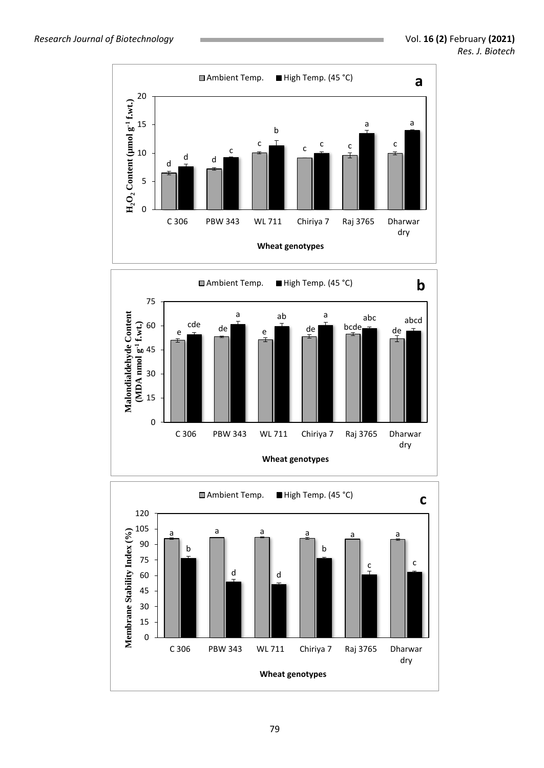



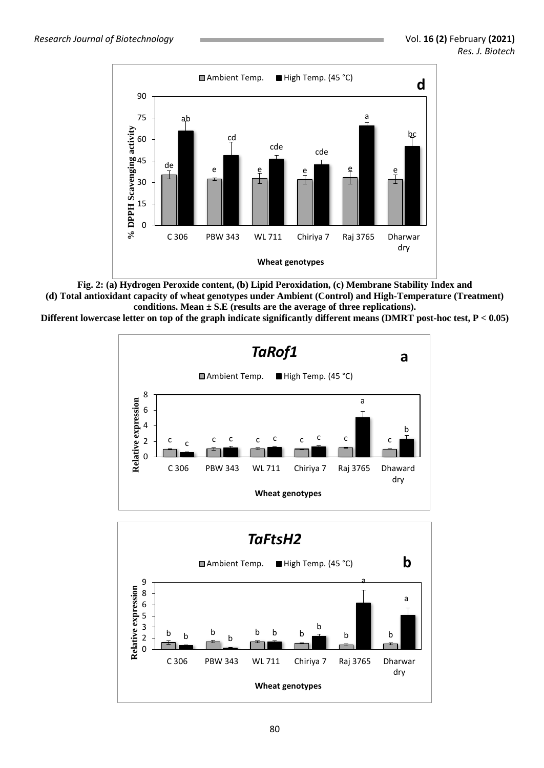

**Fig. 2: (a) Hydrogen Peroxide content, (b) Lipid Peroxidation, (c) Membrane Stability Index and (d) Total antioxidant capacity of wheat genotypes under Ambient (Control) and High-Temperature (Treatment)**  conditions. Mean  $\pm$  S.E (results are the average of three replications).

**Different lowercase letter on top of the graph indicate significantly different means (DMRT post-hoc test, P < 0.05)**



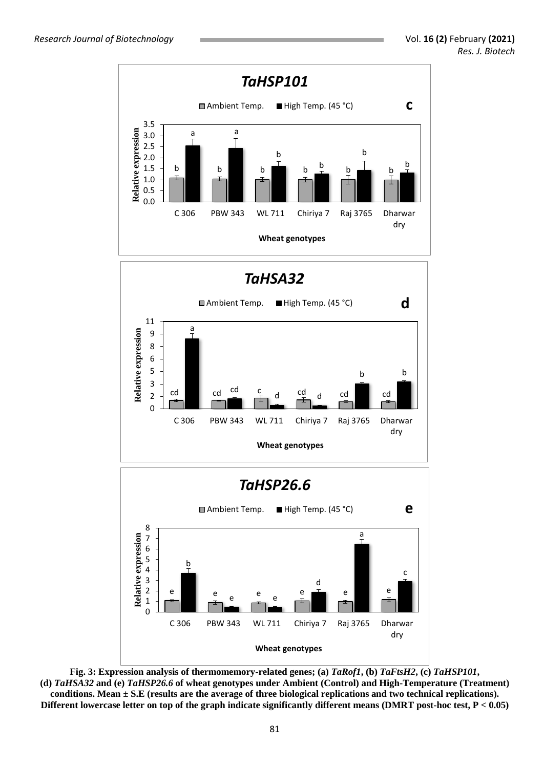

**Fig. 3: Expression analysis of thermomemory-related genes; (a)** *TaRof1***, (b)** *TaFtsH2***, (c)** *TaHSP101***, (d)** *TaHSA32* **and (e)** *TaHSP26.6* **of wheat genotypes under Ambient (Control) and High-Temperature (Treatment) conditions. Mean ± S.E (results are the average of three biological replications and two technical replications). Different lowercase letter on top of the graph indicate significantly different means (DMRT post-hoc test, P < 0.05)**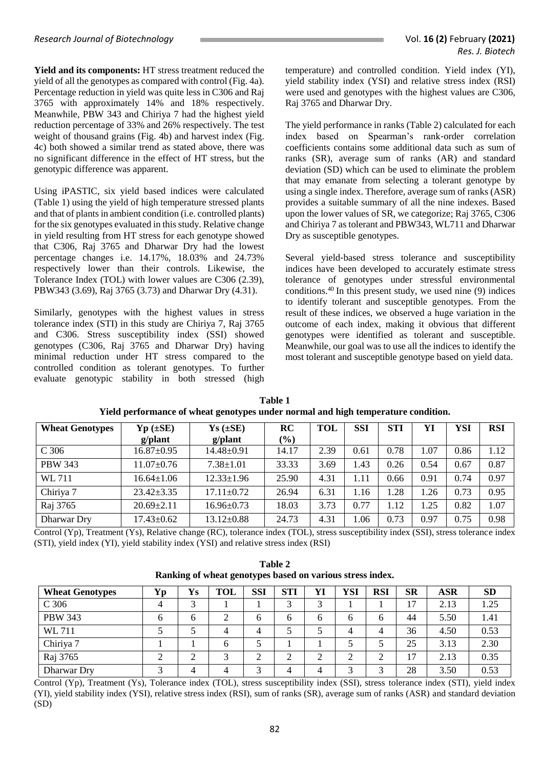**Yield and its components:** HT stress treatment reduced the yield of all the genotypes as compared with control (Fig. 4a). Percentage reduction in yield was quite less in C306 and Raj 3765 with approximately 14% and 18% respectively. Meanwhile, PBW 343 and Chiriya 7 had the highest yield reduction percentage of 33% and 26% respectively. The test weight of thousand grains (Fig. 4b) and harvest index (Fig. 4c) both showed a similar trend as stated above, there was no significant difference in the effect of HT stress, but the genotypic difference was apparent.

Using iPASTIC, six yield based indices were calculated (Table 1) using the yield of high temperature stressed plants and that of plants in ambient condition (i.e. controlled plants) for the six genotypes evaluated in this study. Relative change in yield resulting from HT stress for each genotype showed that C306, Raj 3765 and Dharwar Dry had the lowest percentage changes i.e. 14.17%, 18.03% and 24.73% respectively lower than their controls. Likewise, the Tolerance Index (TOL) with lower values are C306 (2.39), PBW343 (3.69), Raj 3765 (3.73) and Dharwar Dry (4.31).

Similarly, genotypes with the highest values in stress tolerance index (STI) in this study are Chiriya 7, Raj 3765 and C306. Stress susceptibility index (SSI) showed genotypes (C306, Raj 3765 and Dharwar Dry) having minimal reduction under HT stress compared to the controlled condition as tolerant genotypes. To further evaluate genotypic stability in both stressed (high temperature) and controlled condition. Yield index (YI), yield stability index (YSI) and relative stress index (RSI) were used and genotypes with the highest values are C306. Raj 3765 and Dharwar Dry.

The yield performance in ranks (Table 2) calculated for each index based on Spearman's rank‐order correlation coefficients contains some additional data such as sum of ranks (SR), average sum of ranks (AR) and standard deviation (SD) which can be used to eliminate the problem that may emanate from selecting a tolerant genotype by using a single index. Therefore, average sum of ranks (ASR) provides a suitable summary of all the nine indexes. Based upon the lower values of SR, we categorize; Raj 3765, C306 and Chiriya 7 as tolerant and PBW343, WL711 and Dharwar Dry as susceptible genotypes.

Several yield-based stress tolerance and susceptibility indices have been developed to accurately estimate stress tolerance of genotypes under stressful environmental conditions.<sup>40</sup> In this present study, we used nine (9) indices to identify tolerant and susceptible genotypes. From the result of these indices, we observed a huge variation in the outcome of each index, making it obvious that different genotypes were identified as tolerant and susceptible. Meanwhile, our goal was to use all the indices to identify the most tolerant and susceptible genotype based on yield data.

| <b>Wheat Genotypes</b> | $Yp \left( \pm SE \right)$ | $Ys$ ( $\pm SE$ ) | RC     | <b>TOL</b> | SSI  | <b>STI</b> | YI   | YSI  | <b>RSI</b> |
|------------------------|----------------------------|-------------------|--------|------------|------|------------|------|------|------------|
|                        | $g$ /plant                 | $g$ /plant        | $(\%)$ |            |      |            |      |      |            |
| C 306                  | $16.87 \pm 0.95$           | 14.48±0.91        | 14.17  | 2.39       | 0.61 | 0.78       | 1.07 | 0.86 | 1.12       |
| <b>PBW 343</b>         | $11.07 \pm 0.76$           | $7.38 \pm 1.01$   | 33.33  | 3.69       | 1.43 | 0.26       | 0.54 | 0.67 | 0.87       |
| WL 711                 | $16.64 \pm 1.06$           | $12.33 \pm 1.96$  | 25.90  | 4.31       | 1.11 | 0.66       | 0.91 | 0.74 | 0.97       |
| Chiriya 7              | $23.42 \pm 3.35$           | $17.11 \pm 0.72$  | 26.94  | 6.31       | 1.16 | 1.28       | .26  | 0.73 | 0.95       |
| Raj 3765               | $20.69 \pm 2.11$           | $16.96 \pm 0.73$  | 18.03  | 3.73       | 0.77 | 1.12       | .25  | 0.82 | 1.07       |
| Dharwar Dry            | $17.43 \pm 0.62$           | $13.12 \pm 0.88$  | 24.73  | 4.31       | 1.06 | 0.73       | 0.97 | 0.75 | 0.98       |

**Table 1 Yield performance of wheat genotypes under normal and high temperature condition.**

Control (Yp), Treatment (Ys), Relative change (RC), tolerance index (TOL), stress susceptibility index (SSI), stress tolerance index (STI), yield index (YI), yield stability index (YSI) and relative stress index (RSI)

**Table 2 Ranking of wheat genotypes based on various stress index.**

| <b>Wheat Genotypes</b> | $\mathbf{v}_{\mathbf{p}}$ | Ys | <b>TOL</b>   | SSI            | <b>STI</b>   | YI | YSI          | <b>RSI</b> | <b>SR</b> | <b>ASR</b> | <b>SD</b> |
|------------------------|---------------------------|----|--------------|----------------|--------------|----|--------------|------------|-----------|------------|-----------|
| C 306                  | 4                         | 3  |              |                |              | 3  |              |            | רו        | 2.13       | 1.25      |
| <b>PBW 343</b>         | 6                         | 6  | ◠            | <sub>6</sub>   | <sub>(</sub> | h  | <sub>0</sub> | 6          | 44        | 5.50       | 1.41      |
| WL 711                 |                           |    | 4            | $\overline{4}$ |              |    |              | 4          | 36        | 4.50       | 0.53      |
| Chiriya 7              |                           |    | <sub>6</sub> |                |              |    |              |            | 25        | 3.13       | 2.30      |
| Raj 3765               |                           | ◠  | ◠            |                | ◠            | ◠  | $\sim$       | ◠          | רו        | 2.13       | 0.35      |
| Dharwar Dry            |                           |    |              |                |              |    |              | ⌒          | 28        | 3.50       | 0.53      |

Control (Yp), Treatment (Ys), Tolerance index (TOL), stress susceptibility index (SSI), stress tolerance index (STI), yield index (YI), yield stability index (YSI), relative stress index (RSI), sum of ranks (SR), average sum of ranks (ASR) and standard deviation (SD)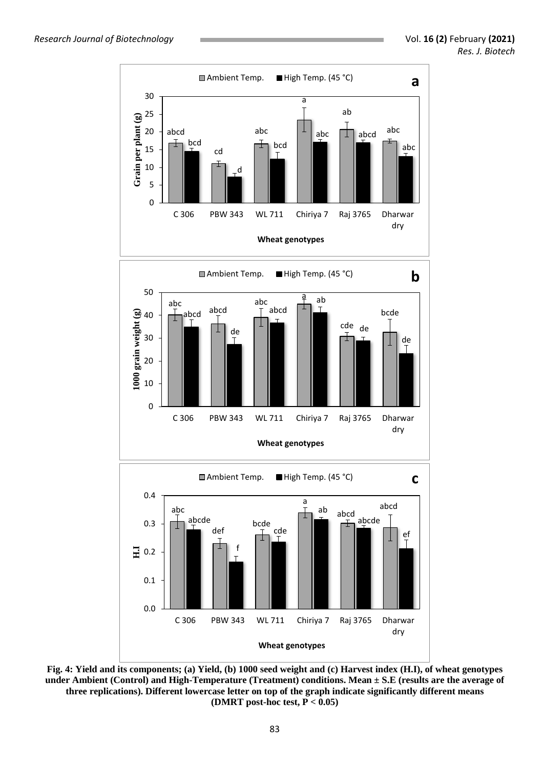

**Fig. 4: Yield and its components; (a) Yield, (b) 1000 seed weight and (c) Harvest index (H.I), of wheat genotypes under Ambient (Control) and High-Temperature (Treatment) conditions. Mean ± S.E (results are the average of three replications). Different lowercase letter on top of the graph indicate significantly different means (DMRT post-hoc test, P < 0.05)**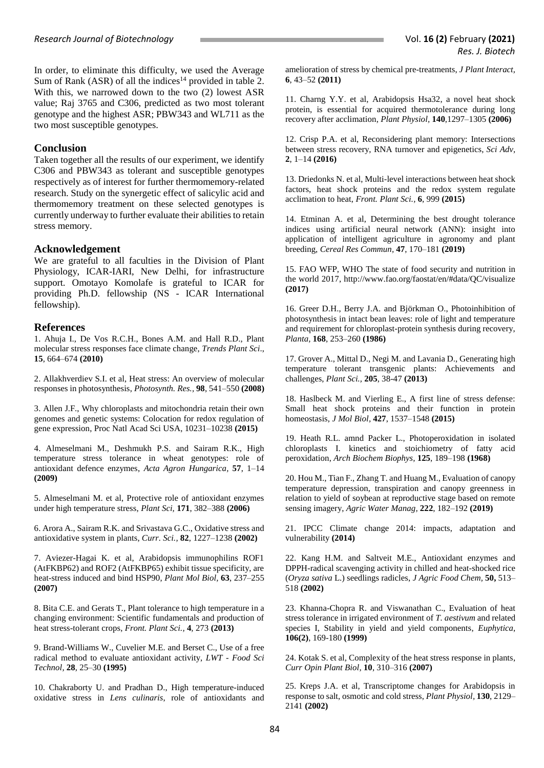In order, to eliminate this difficulty, we used the Average Sum of Rank (ASR) of all the indices<sup>14</sup> provided in table 2. With this, we narrowed down to the two (2) lowest ASR value; Raj 3765 and C306, predicted as two most tolerant genotype and the highest ASR; PBW343 and WL711 as the two most susceptible genotypes.

#### **Conclusion**

Taken together all the results of our experiment, we identify C306 and PBW343 as tolerant and susceptible genotypes respectively as of interest for further thermomemory-related research. Study on the synergetic effect of salicylic acid and thermomemory treatment on these selected genotypes is currently underway to further evaluate their abilities to retain stress memory.

## **Acknowledgement**

We are grateful to all faculties in the Division of Plant Physiology, ICAR-IARI, New Delhi, for infrastructure support. Omotayo Komolafe is grateful to ICAR for providing Ph.D. fellowship (NS - ICAR International fellowship).

## **References**

1. Ahuja I., De Vos R.C.H., Bones A.M. and Hall R.D., Plant molecular stress responses face climate change, *Trends Plant Sci*., **15**, 664–674 **(2010)**

2. Allakhverdiev S.I. et al, Heat stress: An overview of molecular responses in photosynthesis, *Photosynth. Res.,* **98**, 541–550 **(2008)**

3. Allen J.F., Why chloroplasts and mitochondria retain their own genomes and genetic systems: Colocation for redox regulation of gene expression, Proc Natl Acad Sci USA, 10231–10238 **(2015)**

4. Almeselmani M., Deshmukh P.S. and Sairam R.K., High temperature stress tolerance in wheat genotypes: role of antioxidant defence enzymes, *Acta Agron Hungarica,* **57**, 1–14 **(2009)**

5. Almeselmani M. et al, Protective role of antioxidant enzymes under high temperature stress, *Plant Sci,* **171**, 382–388 **(2006)**

6. Arora A., Sairam R.K. and Srivastava G.C., Oxidative stress and antioxidative system in plants, *Curr. Sci.,* **82**, 1227–1238 **(2002)**

7. Aviezer-Hagai K. et al, Arabidopsis immunophilins ROF1 (AtFKBP62) and ROF2 (AtFKBP65) exhibit tissue specificity, are heat-stress induced and bind HSP90, *Plant Mol Biol,* **63**, 237–255 **(2007)**

8. Bita C.E. and Gerats T., Plant tolerance to high temperature in a changing environment: Scientific fundamentals and production of heat stress-tolerant crops, *Front. Plant Sci.,* **4**, 273 **(2013)**

9. Brand-Williams W., Cuvelier M.E. and Berset C., Use of a free radical method to evaluate antioxidant activity, *LWT - Food Sci Technol,* **28**, 25–30 **(1995)**

10. Chakraborty U. and Pradhan D., High temperature-induced oxidative stress in *Lens culinaris*, role of antioxidants and

amelioration of stress by chemical pre-treatments, *J Plant Interact,* **6**, 43–52 **(2011)**

11. Charng Y.Y. et al, Arabidopsis Hsa32, a novel heat shock protein, is essential for acquired thermotolerance during long recovery after acclimation, *Plant Physiol,* **140**,1297–1305 **(2006)**

12. Crisp P.A. et al, Reconsidering plant memory: Intersections between stress recovery, RNA turnover and epigenetics, *Sci Adv,* **2**, 1–14 **(2016)**

13. Driedonks N. et al, Multi-level interactions between heat shock factors, heat shock proteins and the redox system regulate acclimation to heat, *Front. Plant Sci.,* **6**, 999 **(2015)**

14. Etminan A. et al, Determining the best drought tolerance indices using artificial neural network (ANN): insight into application of intelligent agriculture in agronomy and plant breeding, *Cereal Res Commun,* **47**, 170–181 **(2019)**

15. FAO WFP, WHO The state of food security and nutrition in the world 2017, <http://www.fao.org/faostat/en/#data/QC/visualize> **(2017)**

16. Greer D.H., Berry J.A. and Björkman O., Photoinhibition of photosynthesis in intact bean leaves: role of light and temperature and requirement for chloroplast-protein synthesis during recovery, *Planta,* **168**, 253–260 **(1986)**

17. Grover A., Mittal D., Negi M. and Lavania D., Generating high temperature tolerant transgenic plants: Achievements and challenges, *Plant Sci.,* **205**, 38-47 **(2013)**

18. Haslbeck M. and Vierling E., A first line of stress defense: Small heat shock proteins and their function in protein homeostasis, *J Mol Biol,* **427**, 1537–1548 **(2015)**

19. Heath R.L. amnd Packer L., Photoperoxidation in isolated chloroplasts I. kinetics and stoichiometry of fatty acid peroxidation, *Arch Biochem Biophys,* **125**, 189–198 **(1968)**

20. Hou M., Tian F., Zhang T. and Huang M., Evaluation of canopy temperature depression, transpiration and canopy greenness in relation to yield of soybean at reproductive stage based on remote sensing imagery, *Agric Water Manag,* **222**, 182–192 **(2019)**

21. IPCC Climate change 2014: impacts, adaptation and vulnerability **(2014)**

22. Kang H.M. and Saltveit M.E., Antioxidant enzymes and DPPH-radical scavenging activity in chilled and heat-shocked rice (*Oryza sativa* L.) seedlings radicles, *J Agric Food Chem,* **50,** 513– 518 **(2002)**

23. Khanna-Chopra R. and Viswanathan C., Evaluation of heat stress tolerance in irrigated environment of *T. aestivum* and related species I, Stability in yield and yield components, *Euphytica*, **106(2)**, 169-180 **(1999)**

24. Kotak S. et al*,* Complexity of the heat stress response in plants, *Curr Opin Plant Biol,* **10**, 310–316 **(2007)**

25. Kreps J.A. et al, Transcriptome changes for Arabidopsis in response to salt, osmotic and cold stress, *Plant Physiol,* **130**, 2129– 2141 **(2002)**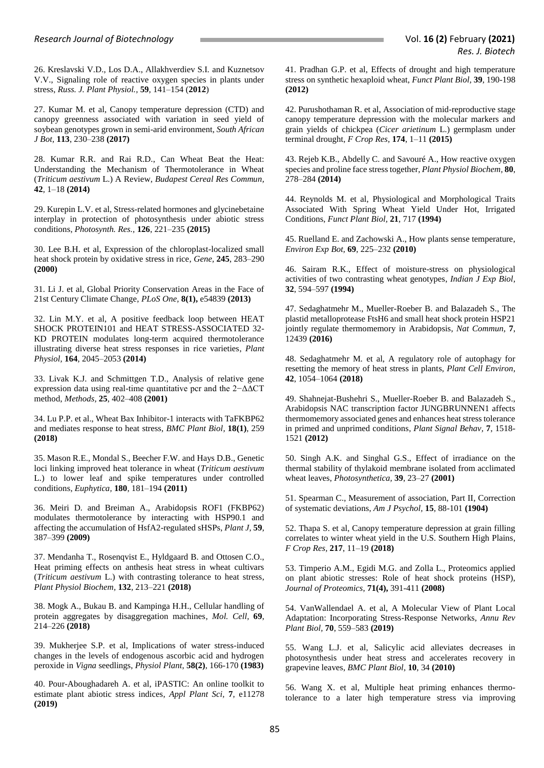26. Kreslavski V.D., Los D.A., Allakhverdiev S.I. and Kuznetsov V.V., Signaling role of reactive oxygen species in plants under stress, *Russ. J. Plant Physiol.,* **59**, 141–154 (**2012**)

27. Kumar M. et al, Canopy temperature depression (CTD) and canopy greenness associated with variation in seed yield of soybean genotypes grown in semi-arid environment, *South African J Bot,* **113**, 230–238 **(2017)**

28. Kumar R.R. and Rai R.D., Can Wheat Beat the Heat: Understanding the Mechanism of Thermotolerance in Wheat (*Triticum aestivum* L.) A Review, *Budapest Cereal Res Commun,* **42**, 1–18 **(2014)**

29. Kurepin L.V. et al, Stress-related hormones and glycinebetaine interplay in protection of photosynthesis under abiotic stress conditions, *Photosynth. Res.,* **126**, 221–235 **(2015)**

30. Lee B.H. et al, Expression of the chloroplast-localized small heat shock protein by oxidative stress in rice, *Gene,* **245**, 283–290 **(2000)**

31. Li J. et al, Global Priority Conservation Areas in the Face of 21st Century Climate Change, *PLoS One,* **8(1),** e54839 **(2013)** 

32. Lin M.Y. et al, A positive feedback loop between HEAT SHOCK PROTEIN101 and HEAT STRESS-ASSOCIATED 32- KD PROTEIN modulates long-term acquired thermotolerance illustrating diverse heat stress responses in rice varieties, *Plant Physiol,* **164**, 2045–2053 **(2014)** 

33. Livak K.J. and Schmittgen T.D., Analysis of relative gene expression data using real-time quantitative pcr and the 2−ΔΔCT method, *Methods,* **25**, 402–408 **(2001)**

34. Lu P.P. et al., Wheat Bax Inhibitor-1 interacts with TaFKBP62 and mediates response to heat stress, *BMC Plant Biol,* **18(1)**, 259 **(2018)**

35. Mason R.E., Mondal S., Beecher F.W. and Hays D.B., Genetic loci linking improved heat tolerance in wheat (*Triticum aestivum* L.) to lower leaf and spike temperatures under controlled conditions, *Euphytica,* **180**, 181–194 **(2011)** 

36. Meiri D. and Breiman A., Arabidopsis ROF1 (FKBP62) modulates thermotolerance by interacting with HSP90.1 and affecting the accumulation of HsfA2-regulated sHSPs, *Plant J,* **59**, 387–399 **(2009)**

37. Mendanha T., Rosenqvist E., Hyldgaard B. and Ottosen C.O., Heat priming effects on anthesis heat stress in wheat cultivars (*Triticum aestivum* L.) with contrasting tolerance to heat stress, *Plant Physiol Biochem,* **132**, 213–221 **(2018)**

38. Mogk A., Bukau B. and Kampinga H.H., Cellular handling of protein aggregates by disaggregation machines, *Mol. Cell,* **69**, 214–226 **(2018)**

39. Mukherjee S.P. et al, Implications of water stress-induced changes in the levels of endogenous ascorbic acid and hydrogen peroxide in *Vigna* seedlings, *Physiol Plant*, **58(2)**, 166-170 **(1983)**

40. Pour-Aboughadareh A. et al, iPASTIC: An online toolkit to estimate plant abiotic stress indices, *Appl Plant Sci,* **7**, e11278 **(2019)**

41. Pradhan G.P. et al, Effects of drought and high temperature stress on synthetic hexaploid wheat, *Funct Plant Biol,* **39**, 190-198 **(2012)**

42. Purushothaman R. et al, Association of mid-reproductive stage canopy temperature depression with the molecular markers and grain yields of chickpea (*Cicer arietinum* L.) germplasm under terminal drought, *F Crop Res,* **174**, 1–11 **(2015)**

43. Rejeb K.B., Abdelly C. and Savouré A., How reactive oxygen species and proline face stress together, *Plant Physiol Biochem,* **80**, 278–284 **(2014)**

44. Reynolds M. et al, Physiological and Morphological Traits Associated With Spring Wheat Yield Under Hot, Irrigated Conditions, *Funct Plant Biol,* **21**, 717 **(1994)**

45. Ruelland E. and Zachowski A., How plants sense temperature, *Environ Exp Bot,* **69**, 225–232 **(2010)**

46. Sairam R.K., Effect of moisture-stress on physiological activities of two contrasting wheat genotypes, *Indian J Exp Biol,* **32**, 594–597 **(1994)**

47. Sedaghatmehr M., Mueller-Roeber B. and Balazadeh S., The plastid metalloprotease FtsH6 and small heat shock protein HSP21 jointly regulate thermomemory in Arabidopsis, *Nat Commun,* **7**, 12439 **(2016)** 

48. Sedaghatmehr M*.* et al, A regulatory role of autophagy for resetting the memory of heat stress in plants, *Plant Cell Environ,* **42**, 1054–1064 **(2018)**

49. Shahnejat-Bushehri S., Mueller-Roeber B. and Balazadeh S., Arabidopsis NAC transcription factor JUNGBRUNNEN1 affects thermomemory associated genes and enhances heat stress tolerance in primed and unprimed conditions, *Plant Signal Behav,* **7**, 1518- 1521 **(2012)**

50. Singh A.K. and Singhal G.S., Effect of irradiance on the thermal stability of thylakoid membrane isolated from acclimated wheat leaves, *Photosynthetica,* **39**, 23–27 **(2001)**

51. Spearman C., Measurement of association, Part II, Correction of systematic deviations, *Am J Psychol,* **15**, 88-101 **(1904)**

52. Thapa S. et al, Canopy temperature depression at grain filling correlates to winter wheat yield in the U.S. Southern High Plains, *F Crop Res,* **217**, 11–19 **(2018)**

53. Timperio A.M., Egidi M.G. and Zolla L., Proteomics applied on plant abiotic stresses: Role of heat shock proteins (HSP), *Journal of Proteomics*, **71(4),** 391-411 **(2008)** 

54. VanWallendael A. et al, A Molecular View of Plant Local Adaptation: Incorporating Stress-Response Networks, *Annu Rev Plant Biol,* **70**, 559–583 **(2019)**

55. Wang L.J. et al, Salicylic acid alleviates decreases in photosynthesis under heat stress and accelerates recovery in grapevine leaves, *BMC Plant Biol,* **10**, 34 **(2010)** 

56. Wang X. et al, Multiple heat priming enhances thermotolerance to a later high temperature stress via improving